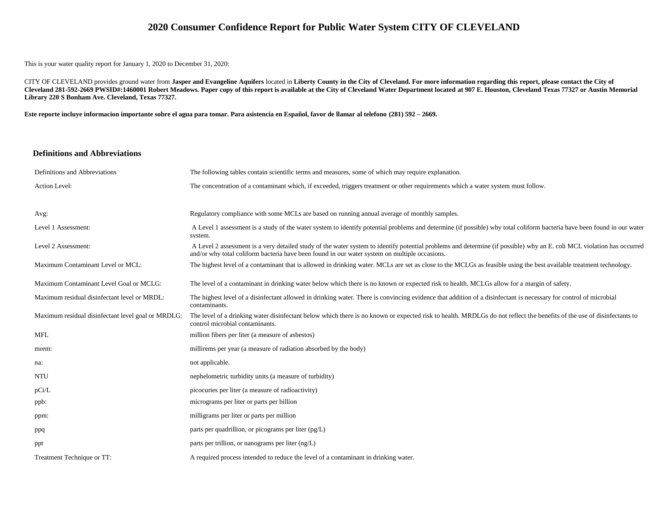## **2020 Consumer Confidence Report for Public Water System CITY OF CLEVELAND**

This is your water quality report for January 1, 2020 to December 31, 2020:

CITY OF CLEVELAND provides ground water from **Jasper and Evangeline Aquifers** located in **Liberty County in the City of Cleveland. For more information regarding this report, please contact the City of Cleveland 281-592-2669 PWSID#:1460001 Robert Meadows. Paper copy of this report is available at the City of Cleveland Water Department located at 907 E. Houston, Cleveland Texas 77327 or Austin Memorial Library 220 S Bonham Ave. Cleveland, Texas 77327.**

**Este reporte incluye informacion importante sobre el agua para tomar. Para asistencia en Español, favor de llamar al telefono (281) 592 – 2669.**

#### **Definitions and Abbreviations**

| Definitions and Abbreviations                      | The following tables contain scientific terms and measures, some of which may require explanation.                                                                                                                                                                      |
|----------------------------------------------------|-------------------------------------------------------------------------------------------------------------------------------------------------------------------------------------------------------------------------------------------------------------------------|
| Action Level:                                      | The concentration of a contaminant which, if exceeded, triggers treatment or other requirements which a water system must follow.                                                                                                                                       |
|                                                    |                                                                                                                                                                                                                                                                         |
| Avg:                                               | Regulatory compliance with some MCLs are based on running annual average of monthly samples.                                                                                                                                                                            |
| Level 1 Assessment:                                | A Level 1 assessment is a study of the water system to identify potential problems and determine (if possible) why total coliform bacteria have been found in our water<br>system.                                                                                      |
| Level 2 Assessment:                                | A Level 2 assessment is a very detailed study of the water system to identify potential problems and determine (if possible) why an E. coli MCL violation has occurred<br>and/or why total coliform bacteria have been found in our water system on multiple occasions. |
| Maximum Contaminant Level or MCL:                  | The highest level of a contaminant that is allowed in drinking water. MCLs are set as close to the MCLGs as feasible using the best available treatment technology.                                                                                                     |
| Maximum Contaminant Level Goal or MCLG:            | The level of a contaminant in drinking water below which there is no known or expected risk to health. MCLGs allow for a margin of safety.                                                                                                                              |
| Maximum residual disinfectant level or MRDL:       | The highest level of a disinfectant allowed in drinking water. There is convincing evidence that addition of a disinfectant is necessary for control of microbial<br>contaminants.                                                                                      |
| Maximum residual disinfectant level goal or MRDLG: | The level of a drinking water disinfectant below which there is no known or expected risk to health. MRDLGs do not reflect the benefits of the use of disinfectants to<br>control microbial contaminants.                                                               |
| <b>MFL</b>                                         | million fibers per liter (a measure of asbestos)                                                                                                                                                                                                                        |
| mrem:                                              | millirems per year (a measure of radiation absorbed by the body)                                                                                                                                                                                                        |
| na:                                                | not applicable.                                                                                                                                                                                                                                                         |
| <b>NTU</b>                                         | nephelometric turbidity units (a measure of turbidity)                                                                                                                                                                                                                  |
| pCi/L                                              | picocuries per liter (a measure of radioactivity)                                                                                                                                                                                                                       |
| ppb:                                               | micrograms per liter or parts per billion                                                                                                                                                                                                                               |
| ppm:                                               | milligrams per liter or parts per million                                                                                                                                                                                                                               |
| ppq                                                | parts per quadrillion, or picograms per liter (pg/L)                                                                                                                                                                                                                    |
| ppt                                                | parts per trillion, or nanograms per liter $(ng/L)$                                                                                                                                                                                                                     |
| Treatment Technique or TT:                         | A required process intended to reduce the level of a contaminant in drinking water.                                                                                                                                                                                     |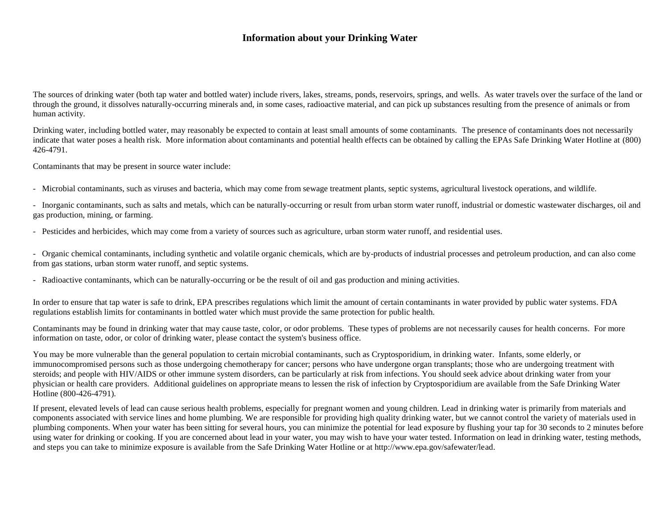## **Information about your Drinking Water**

The sources of drinking water (both tap water and bottled water) include rivers, lakes, streams, ponds, reservoirs, springs, and wells. As water travels over the surface of the land or through the ground, it dissolves naturally-occurring minerals and, in some cases, radioactive material, and can pick up substances resulting from the presence of animals or from human activity.

Drinking water, including bottled water, may reasonably be expected to contain at least small amounts of some contaminants. The presence of contaminants does not necessarily indicate that water poses a health risk. More information about contaminants and potential health effects can be obtained by calling the EPAs Safe Drinking Water Hotline at (800) 426-4791.

Contaminants that may be present in source water include:

- Microbial contaminants, such as viruses and bacteria, which may come from sewage treatment plants, septic systems, agricultural livestock operations, and wildlife.

- Inorganic contaminants, such as salts and metals, which can be naturally-occurring or result from urban storm water runoff, industrial or domestic wastewater discharges, oil and gas production, mining, or farming.

- Pesticides and herbicides, which may come from a variety of sources such as agriculture, urban storm water runoff, and residential uses.

- Organic chemical contaminants, including synthetic and volatile organic chemicals, which are by-products of industrial processes and petroleum production, and can also come from gas stations, urban storm water runoff, and septic systems.

- Radioactive contaminants, which can be naturally-occurring or be the result of oil and gas production and mining activities.

In order to ensure that tap water is safe to drink, EPA prescribes regulations which limit the amount of certain contaminants in water provided by public water systems. FDA regulations establish limits for contaminants in bottled water which must provide the same protection for public health.

Contaminants may be found in drinking water that may cause taste, color, or odor problems. These types of problems are not necessarily causes for health concerns. For more information on taste, odor, or color of drinking water, please contact the system's business office.

You may be more vulnerable than the general population to certain microbial contaminants, such as Cryptosporidium, in drinking water. Infants, some elderly, or immunocompromised persons such as those undergoing chemotherapy for cancer; persons who have undergone organ transplants; those who are undergoing treatment with steroids; and people with HIV/AIDS or other immune system disorders, can be particularly at risk from infections. You should seek advice about drinking water from your physician or health care providers. Additional guidelines on appropriate means to lessen the risk of infection by Cryptosporidium are available from the Safe Drinking Water Hotline (800-426-4791).

If present, elevated levels of lead can cause serious health problems, especially for pregnant women and young children. Lead in drinking water is primarily from materials and components associated with service lines and home plumbing. We are responsible for providing high quality drinking water, but we cannot control the variety of materials used in plumbing components. When your water has been sitting for several hours, you can minimize the potential for lead exposure by flushing your tap for 30 seconds to 2 minutes before using water for drinking or cooking. If you are concerned about lead in your water, you may wish to have your water tested. Information on lead in drinking water, testing methods, and steps you can take to minimize exposure is available from the Safe Drinking Water Hotline or at http://www.epa.gov/safewater/lead.